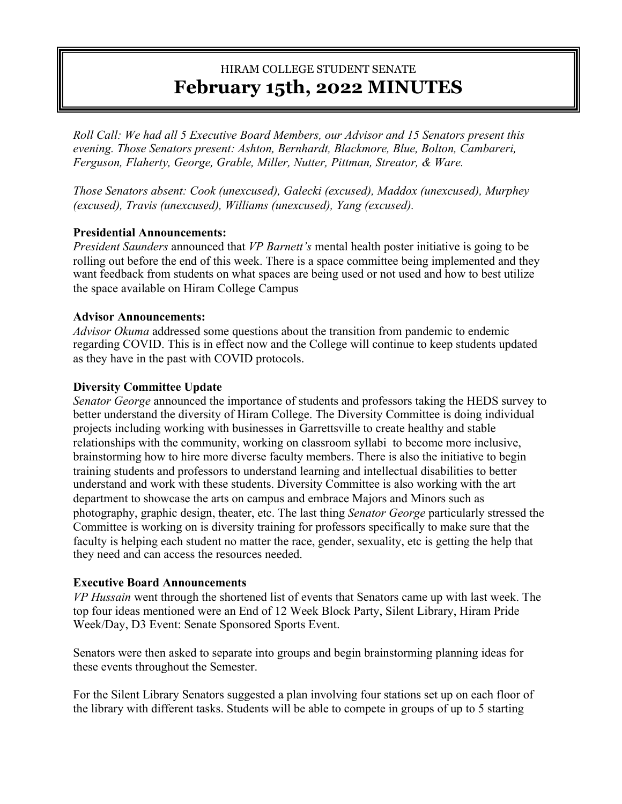# HIRAM COLLEGE STUDENT SENATE **February 15th, 2022 MINUTES**

*Roll Call: We had all 5 Executive Board Members, our Advisor and 15 Senators present this evening. Those Senators present: Ashton, Bernhardt, Blackmore, Blue, Bolton, Cambareri, Ferguson, Flaherty, George, Grable, Miller, Nutter, Pittman, Streator, & Ware.*

*Those Senators absent: Cook (unexcused), Galecki (excused), Maddox (unexcused), Murphey (excused), Travis (unexcused), Williams (unexcused), Yang (excused).* 

### **Presidential Announcements:**

*President Saunders* announced that *VP Barnett's* mental health poster initiative is going to be rolling out before the end of this week. There is a space committee being implemented and they want feedback from students on what spaces are being used or not used and how to best utilize the space available on Hiram College Campus

### **Advisor Announcements:**

*Advisor Okuma* addressed some questions about the transition from pandemic to endemic regarding COVID. This is in effect now and the College will continue to keep students updated as they have in the past with COVID protocols.

### **Diversity Committee Update**

*Senator George* announced the importance of students and professors taking the HEDS survey to better understand the diversity of Hiram College. The Diversity Committee is doing individual projects including working with businesses in Garrettsville to create healthy and stable relationships with the community, working on classroom syllabi to become more inclusive, brainstorming how to hire more diverse faculty members. There is also the initiative to begin training students and professors to understand learning and intellectual disabilities to better understand and work with these students. Diversity Committee is also working with the art department to showcase the arts on campus and embrace Majors and Minors such as photography, graphic design, theater, etc. The last thing *Senator George* particularly stressed the Committee is working on is diversity training for professors specifically to make sure that the faculty is helping each student no matter the race, gender, sexuality, etc is getting the help that they need and can access the resources needed.

# **Executive Board Announcements**

*VP Hussain* went through the shortened list of events that Senators came up with last week. The top four ideas mentioned were an End of 12 Week Block Party, Silent Library, Hiram Pride Week/Day, D3 Event: Senate Sponsored Sports Event.

Senators were then asked to separate into groups and begin brainstorming planning ideas for these events throughout the Semester.

For the Silent Library Senators suggested a plan involving four stations set up on each floor of the library with different tasks. Students will be able to compete in groups of up to 5 starting